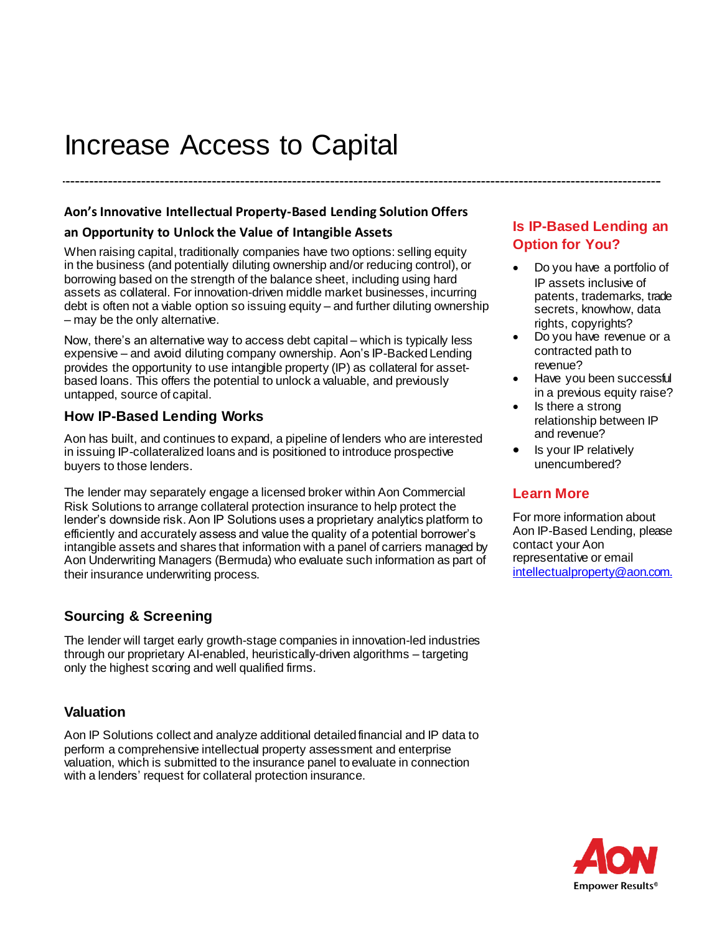# Increase Access to Capital

## **Aon's Innovative Intellectual Property-Based Lending Solution Offers**

#### **an Opportunity to Unlock the Value of Intangible Assets**

When raising capital, traditionally companies have two options: selling equity in the business (and potentially diluting ownership and/or reducing control), or borrowing based on the strength of the balance sheet, including using hard assets as collateral. For innovation-driven middle market businesses, incurring debt is often not a viable option so issuing equity – and further diluting ownership – may be the only alternative.

Now, there's an alternative way to access debt capital – which is typically less expensive – and avoid diluting company ownership. Aon's IP-Backed Lending provides the opportunity to use intangible property (IP) as collateral for assetbased loans. This offers the potential to unlock a valuable, and previously untapped, source of capital.

## **How IP-Based Lending Works**

Aon has built, and continues to expand, a pipeline of lenders who are interested in issuing IP-collateralized loans and is positioned to introduce prospective buyers to those lenders.

The lender may separately engage a licensed broker within Aon Commercial Risk Solutions to arrange collateral protection insurance to help protect the lender's downside risk. Aon IP Solutions uses a proprietary analytics platform to efficiently and accurately assess and value the quality of a potential borrower's intangible assets and shares that information with a panel of carriers managed by Aon Underwriting Managers (Bermuda) who evaluate such information as part of their insurance underwriting process.

## **Sourcing & Screening**

The lender will target early growth-stage companies in innovation-led industries through our proprietary AI-enabled, heuristically-driven algorithms – targeting only the highest scoring and well qualified firms.

## **Valuation**

Aon IP Solutions collect and analyze additional detailed financial and IP data to perform a comprehensive intellectual property assessment and enterprise valuation, which is submitted to the insurance panel to evaluate in connection with a lenders' request for collateral protection insurance.

## **Is IP-Based Lending an Option for You?**

- Do you have a portfolio of IP assets inclusive of patents, trademarks, trade secrets, knowhow, data rights, copyrights?
- Do you have revenue or a contracted path to revenue?
- Have you been successful in a previous equity raise?
- Is there a strong relationship between IP and revenue?
- Is your IP relatively unencumbered?

## **Learn More**

For more information about Aon IP-Based Lending, please contact your Aon representative or email [intellectualproperty@aon.com.](mailto:intellectualproperty@aon.com)